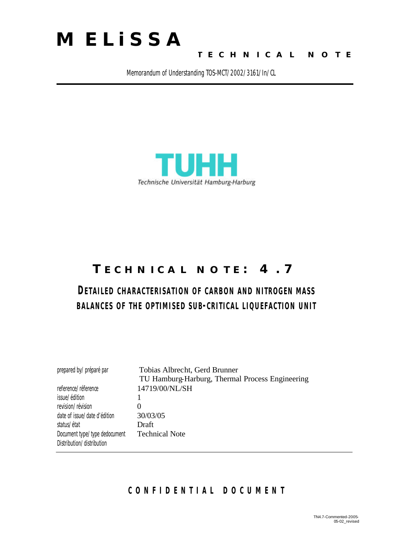

### **TECHNICAL NOTE**

Memorandum of Understanding TOS-MCT/2002/3161/In/CL



# **TECHNICAL NOTE: 4.7**

# **DETAILED CHARACTERISATION OF CARBON AND NITROGEN MASS BALANCES OF THE OPTIMISED SUB-CRITICAL LIQUEFACTION UNIT**

| prepared by/préparé par       | Tobias Albrecht, Gerd Brunner                   |
|-------------------------------|-------------------------------------------------|
|                               | TU Hamburg-Harburg, Thermal Process Engineering |
| reference/réference           | 14719/00/NL/SH                                  |
| issue/édition                 |                                                 |
| revision/révision             | $\theta$                                        |
| date of issue/date d'édition  | 30/03/05                                        |
| status/état                   | Draft                                           |
| Document type/type dedocument | <b>Technical Note</b>                           |
| Distribution/distribution     |                                                 |

### **CONFIDENTIAL DOCUMEN T**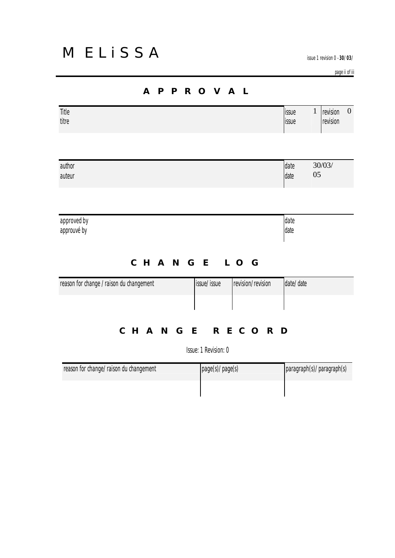issue 1 revision 0 -**30/03/05**

page ii of iii

| Title<br>titre                           |                      |                   | issue<br>issue | $\mathbf 1$<br>revision<br>revision |
|------------------------------------------|----------------------|-------------------|----------------|-------------------------------------|
| author                                   |                      |                   | date           | 30/03/                              |
| auteur                                   |                      |                   | date           | 05                                  |
| approved by<br>approuvé by               |                      |                   | date<br>date   |                                     |
|                                          | CHANGE LOG           |                   |                |                                     |
| reason for change / raison du changement | issue/issue          | revision/revision | date/date      |                                     |
| CHANGE RECORD                            |                      |                   |                |                                     |
|                                          | Issue: 1 Revision: 0 |                   |                |                                     |
| reason for change / raison du changement | mapc(c)/mapc(c)      |                   |                | $nərəqrəh(c)$ ( $nərəqrəh(c)$       |

| reason for change/raison du changement | page(s)/page(s) | paragraph(s)/paragraph(s) |
|----------------------------------------|-----------------|---------------------------|
|                                        |                 |                           |

### **APPROVAL**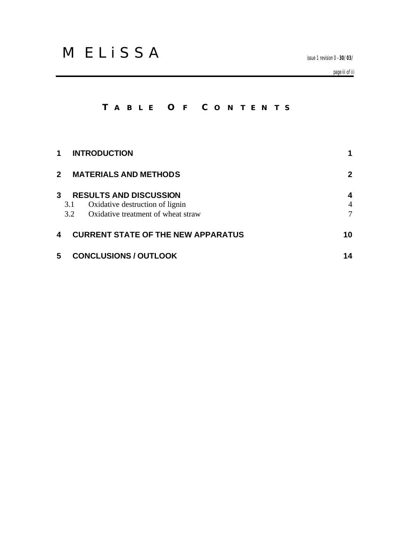issue 1 revision 0 -**30/03/05**

page iii of iii

## **T ABLE O F C ONTENTS**

| 1                                            | <b>INTRODUCTION</b>                                                                                                  |             |
|----------------------------------------------|----------------------------------------------------------------------------------------------------------------------|-------------|
| $\mathbf{2}$<br><b>MATERIALS AND METHODS</b> |                                                                                                                      | 2           |
| 3                                            | <b>RESULTS AND DISCUSSION</b><br>3.1<br>Oxidative destruction of lignin<br>Oxidative treatment of wheat straw<br>3.2 | 4<br>4<br>7 |
| 4                                            | <b>CURRENT STATE OF THE NEW APPARATUS</b>                                                                            | 10          |
| 5                                            | <b>CONCLUSIONS / OUTLOOK</b>                                                                                         | 14          |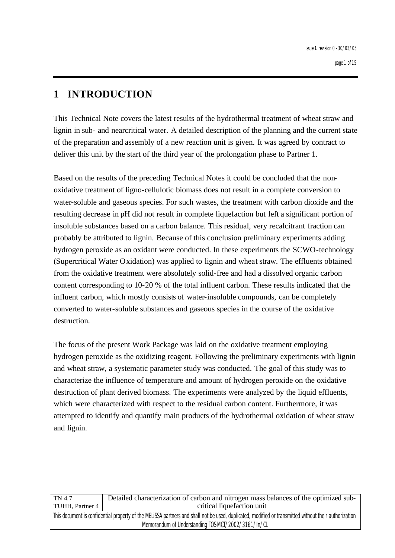# **1 INTRODUCTION**

This Technical Note covers the latest results of the hydrothermal treatment of wheat straw and lignin in sub- and nearcritical water. A detailed description of the planning and the current state of the preparation and assembly of a new reaction unit is given. It was agreed by contract to deliver this unit by the start of the third year of the prolongation phase to Partner 1.

Based on the results of the preceding Technical Notes it could be concluded that the nonoxidative treatment of ligno-cellulotic biomass does not result in a complete conversion to water-soluble and gaseous species. For such wastes, the treatment with carbon dioxide and the resulting decrease in pH did not result in complete liquefaction but left a significant portion of insoluble substances based on a carbon balance. This residual, very recalcitrant fraction can probably be attributed to lignin. Because of this conclusion preliminary experiments adding hydrogen peroxide as an oxidant were conducted. In these experiments the SCWO-technology (Supercritical Water Oxidation) was applied to lignin and wheat straw. The effluents obtained from the oxidative treatment were absolutely solid-free and had a dissolved organic carbon content corresponding to 10-20 % of the total influent carbon. These results indicated that the influent carbon, which mostly consists of water-insoluble compounds, can be completely converted to water-soluble substances and gaseous species in the course of the oxidative destruction.

The focus of the present Work Package was laid on the oxidative treatment employing hydrogen peroxide as the oxidizing reagent. Following the preliminary experiments with lignin and wheat straw, a systematic parameter study was conducted. The goal of this study was to characterize the influence of temperature and amount of hydrogen peroxide on the oxidative destruction of plant derived biomass. The experiments were analyzed by the liquid effluents, which were characterized with respect to the residual carbon content. Furthermore, it was attempted to identify and quantify main products of the hydrothermal oxidation of wheat straw and lignin.

| TN 4.7                                                                                                                                                | Detailed characterization of carbon and nitrogen mass balances of the optimized sub- |
|-------------------------------------------------------------------------------------------------------------------------------------------------------|--------------------------------------------------------------------------------------|
| TUHH, Partner 4                                                                                                                                       | critical liquefaction unit                                                           |
| This document is confidential property of the MELISSA partners and shall not be used, duplicated, modified or transmitted without their authorization |                                                                                      |
| Memorandum of Understanding TOS-MCT/2002/3161/In/CL                                                                                                   |                                                                                      |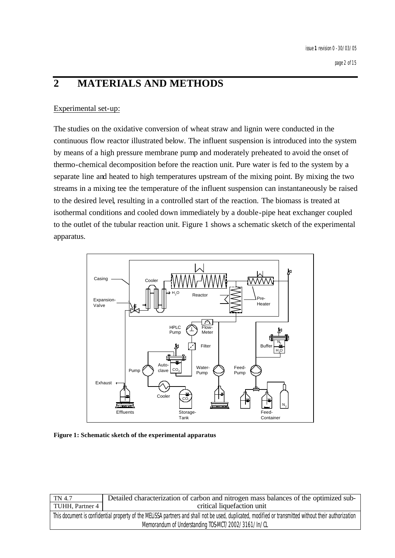# **2 MATERIALS AND METHODS**

#### Experimental set-up:

The studies on the oxidative conversion of wheat straw and lignin were conducted in the continuous flow reactor illustrated below. The influent suspension is introduced into the system by means of a high pressure membrane pump and moderately preheated to avoid the onset of thermo-chemical decomposition before the reaction unit. Pure water is fed to the system by a separate line and heated to high temperatures upstream of the mixing point. By mixing the two streams in a mixing tee the temperature of the influent suspension can instantaneously be raised to the desired level, resulting in a controlled start of the reaction. The biomass is treated at isothermal conditions and cooled down immediately by a double-pipe heat exchanger coupled to the outlet of the tubular reaction unit. Figure 1 shows a schematic sketch of the experimental apparatus.



**Figure 1: Schematic sketch of the experimental apparatus**

| TN 4.7                                                                                                                                                | Detailed characterization of carbon and nitrogen mass balances of the optimized sub- |
|-------------------------------------------------------------------------------------------------------------------------------------------------------|--------------------------------------------------------------------------------------|
| TUHH, Partner 4                                                                                                                                       | critical liquefaction unit                                                           |
| This document is confidential property of the MELISSA partners and shall not be used, duplicated, modified or transmitted without their authorization |                                                                                      |
| Memorandum of Understanding TOS-MCT/2002/3161/In/CL                                                                                                   |                                                                                      |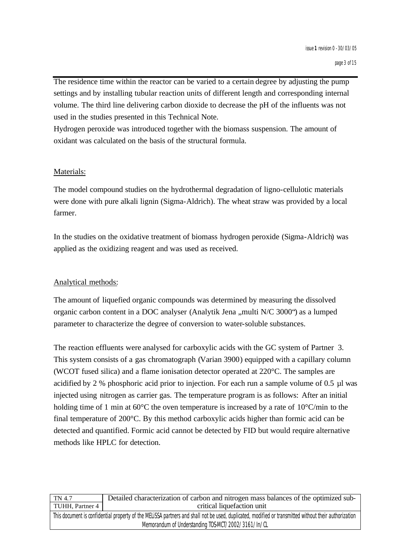The residence time within the reactor can be varied to a certain degree by adjusting the pump settings and by installing tubular reaction units of different length and corresponding internal volume. The third line delivering carbon dioxide to decrease the pH of the influents was not used in the studies presented in this Technical Note.

Hydrogen peroxide was introduced together with the biomass suspension. The amount of oxidant was calculated on the basis of the structural formula.

#### Materials:

The model compound studies on the hydrothermal degradation of ligno-cellulotic materials were done with pure alkali lignin (Sigma-Aldrich). The wheat straw was provided by a local farmer.

In the studies on the oxidative treatment of biomass hydrogen peroxide (Sigma-Aldrich) was applied as the oxidizing reagent and was used as received.

#### Analytical methods:

The amount of liquefied organic compounds was determined by measuring the dissolved organic carbon content in a DOC analyser (Analytik Jena ,,multi N/C 3000<sup>o</sup>) as a lumped parameter to characterize the degree of conversion to water-soluble substances.

The reaction effluents were analysed for carboxylic acids with the GC system of Partner 3. This system consists of a gas chromatograph (Varian 3900) equipped with a capillary column (WCOT fused silica) and a flame ionisation detector operated at 220°C. The samples are acidified by 2 % phosphoric acid prior to injection. For each run a sample volume of 0.5 µl was injected using nitrogen as carrier gas. The temperature program is as follows: After an initial holding time of 1 min at 60°C the oven temperature is increased by a rate of 10°C/min to the final temperature of 200°C. By this method carboxylic acids higher than formic acid can be detected and quantified. Formic acid cannot be detected by FID but would require alternative methods like HPLC for detection.

| TN 4.7                                                                                                                                                | Detailed characterization of carbon and nitrogen mass balances of the optimized sub- |
|-------------------------------------------------------------------------------------------------------------------------------------------------------|--------------------------------------------------------------------------------------|
| TUHH, Partner 4                                                                                                                                       | critical liquefaction unit                                                           |
| This document is confidential property of the MELISSA partners and shall not be used, duplicated, modified or transmitted without their authorization |                                                                                      |
| Memorandum of Understanding TOS-MCT/2002/3161/In/CL                                                                                                   |                                                                                      |
|                                                                                                                                                       |                                                                                      |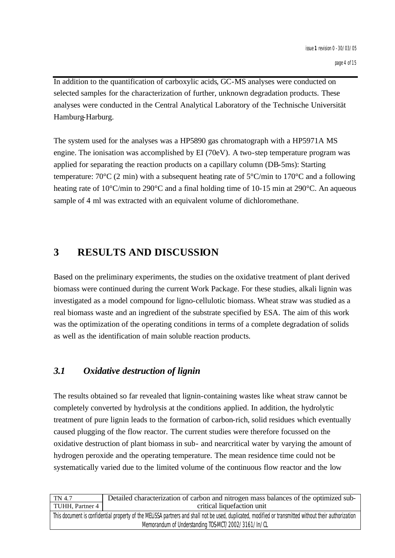In addition to the quantification of carboxylic acids, GC-MS analyses were conducted on selected samples for the characterization of further, unknown degradation products. These analyses were conducted in the Central Analytical Laboratory of the Technische Universität Hamburg-Harburg.

The system used for the analyses was a HP5890 gas chromatograph with a HP5971A MS engine. The ionisation was accomplished by EI (70eV). A two-step temperature program was applied for separating the reaction products on a capillary column (DB-5ms): Starting temperature: 70 $\rm{°C}$  (2 min) with a subsequent heating rate of 5 $\rm{°C/min}$  to 170 $\rm{°C}$  and a following heating rate of 10<sup>o</sup>C/min to 290<sup>o</sup>C and a final holding time of 10-15 min at 290<sup>o</sup>C. An aqueous sample of 4 ml was extracted with an equivalent volume of dichloromethane.

# **3 RESULTS AND DISCUSSION**

Based on the preliminary experiments, the studies on the oxidative treatment of plant derived biomass were continued during the current Work Package. For these studies, alkali lignin was investigated as a model compound for ligno-cellulotic biomass. Wheat straw was studied as a real biomass waste and an ingredient of the substrate specified by ESA. The aim of this work was the optimization of the operating conditions in terms of a complete degradation of solids as well as the identification of main soluble reaction products.

### *3.1 Oxidative destruction of lignin*

The results obtained so far revealed that lignin-containing wastes like wheat straw cannot be completely converted by hydrolysis at the conditions applied. In addition, the hydrolytic treatment of pure lignin leads to the formation of carbon-rich, solid residues which eventually caused plugging of the flow reactor. The current studies were therefore focussed on the oxidative destruction of plant biomass in sub- and nearcritical water by varying the amount of hydrogen peroxide and the operating temperature. The mean residence time could not be systematically varied due to the limited volume of the continuous flow reactor and the low

| TN 4.7                                                                                                                                                | Detailed characterization of carbon and nitrogen mass balances of the optimized sub- |
|-------------------------------------------------------------------------------------------------------------------------------------------------------|--------------------------------------------------------------------------------------|
| TUHH, Partner 4                                                                                                                                       | critical liquefaction unit                                                           |
| This document is confidential property of the MELISSA partners and shall not be used, duplicated, modified or transmitted without their authorization |                                                                                      |
| Memorandum of Understanding TOS-MCT/2002/3161/In/CL                                                                                                   |                                                                                      |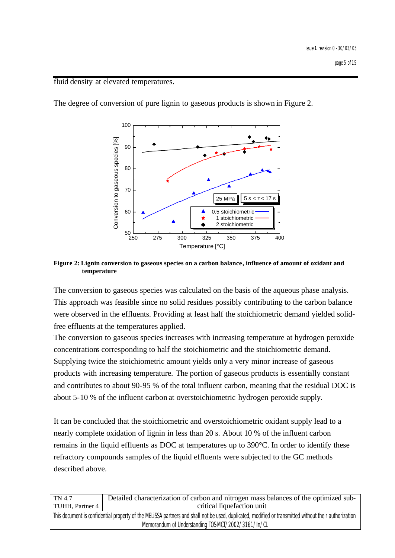page 5 of 15

fluid density at elevated temperatures.



The degree of conversion of pure lignin to gaseous products is shown in Figure 2.

**Figure 2: Lignin conversion to gaseous species on a carbon balance, influence of amount of oxidant and temperature**

The conversion to gaseous species was calculated on the basis of the aqueous phase analysis. This approach was feasible since no solid residues possibly contributing to the carbon balance were observed in the effluents. Providing at least half the stoichiometric demand yielded solidfree effluents at the temperatures applied.

The conversion to gaseous species increases with increasing temperature at hydrogen peroxide concentrations corresponding to half the stoichiometric and the stoichiometric demand. Supplying twice the stoichiometric amount yields only a very minor increase of gaseous products with increasing temperature. The portion of gaseous products is essentially constant and contributes to about 90-95 % of the total influent carbon, meaning that the residual DOC is about 5-10 % of the influent carbon at overstoichiometric hydrogen peroxide supply.

It can be concluded that the stoichiometric and overstoichiometric oxidant supply lead to a nearly complete oxidation of lignin in less than 20 s. About 10 % of the influent carbon remains in the liquid effluents as DOC at temperatures up to 390°C. In order to identify these refractory compounds samples of the liquid effluents were subjected to the GC methods described above.

| TN 4.7                                                                                                                                                | Detailed characterization of carbon and nitrogen mass balances of the optimized sub- |
|-------------------------------------------------------------------------------------------------------------------------------------------------------|--------------------------------------------------------------------------------------|
| TUHH, Partner 4                                                                                                                                       | critical liquefaction unit                                                           |
| This document is confidential property of the MELISSA partners and shall not be used, duplicated, modified or transmitted without their authorization |                                                                                      |
| Memorandum of Understanding TOS-MCT/2002/3161/In/CL                                                                                                   |                                                                                      |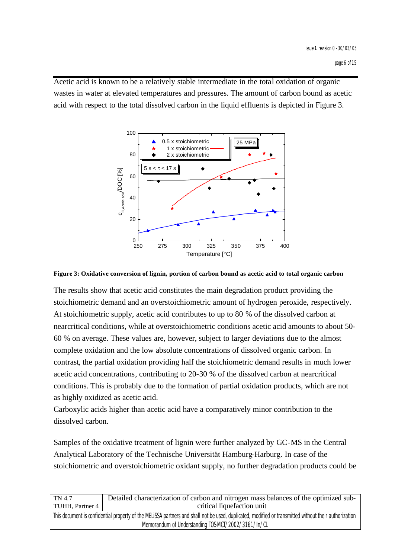Acetic acid is known to be a relatively stable intermediate in the total oxidation of organic wastes in water at elevated temperatures and pressures. The amount of carbon bound as acetic acid with respect to the total dissolved carbon in the liquid effluents is depicted in Figure 3.



**Figure 3: Oxidative conversion of lignin, portion of carbon bound as acetic acid to total organic carbon**

The results show that acetic acid constitutes the main degradation product providing the stoichiometric demand and an overstoichiometric amount of hydrogen peroxide, respectively. At stoichiometric supply, acetic acid contributes to up to 80 % of the dissolved carbon at nearcritical conditions, while at overstoichiometric conditions acetic acid amounts to about 50- 60 % on average. These values are, however, subject to larger deviations due to the almost complete oxidation and the low absolute concentrations of dissolved organic carbon. In contrast, the partial oxidation providing half the stoichiometric demand results in much lower acetic acid concentrations, contributing to 20-30 % of the dissolved carbon at nearcritical conditions. This is probably due to the formation of partial oxidation products, which are not as highly oxidized as acetic acid.

Carboxylic acids higher than acetic acid have a comparatively minor contribution to the dissolved carbon.

Samples of the oxidative treatment of lignin were further analyzed by GC-MS in the Central Analytical Laboratory of the Technische Universität Hamburg-Harburg. In case of the stoichiometric and overstoichiometric oxidant supply, no further degradation products could be

| TN 4.7                                                                                                                                                | Detailed characterization of carbon and nitrogen mass balances of the optimized sub- |
|-------------------------------------------------------------------------------------------------------------------------------------------------------|--------------------------------------------------------------------------------------|
| TUHH, Partner 4                                                                                                                                       | critical liquefaction unit                                                           |
| This document is confidential property of the MELISSA partners and shall not be used, duplicated, modified or transmitted without their authorization |                                                                                      |
| Memorandum of Understanding TOS-MCT/2002/3161/In/CL                                                                                                   |                                                                                      |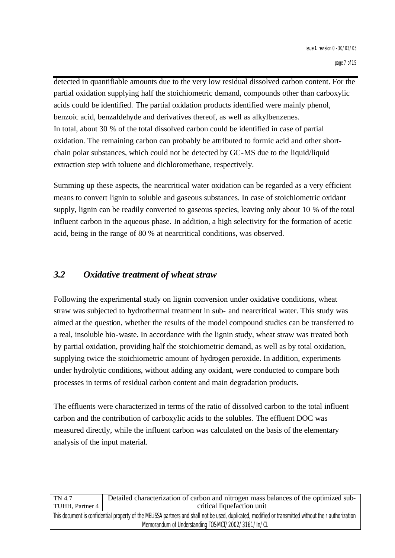detected in quantifiable amounts due to the very low residual dissolved carbon content. For the partial oxidation supplying half the stoichiometric demand, compounds other than carboxylic acids could be identified. The partial oxidation products identified were mainly phenol, benzoic acid, benzaldehyde and derivatives thereof, as well as alkylbenzenes. In total, about 30 % of the total dissolved carbon could be identified in case of partial oxidation. The remaining carbon can probably be attributed to formic acid and other shortchain polar substances, which could not be detected by GC-MS due to the liquid/liquid extraction step with toluene and dichloromethane, respectively.

Summing up these aspects, the nearcritical water oxidation can be regarded as a very efficient means to convert lignin to soluble and gaseous substances. In case of stoichiometric oxidant supply, lignin can be readily converted to gaseous species, leaving only about 10 % of the total influent carbon in the aqueous phase. In addition, a high selectivity for the formation of acetic acid, being in the range of 80 % at nearcritical conditions, was observed.

### *3.2 Oxidative treatment of wheat straw*

Following the experimental study on lignin conversion under oxidative conditions, wheat straw was subjected to hydrothermal treatment in sub- and nearcritical water. This study was aimed at the question, whether the results of the model compound studies can be transferred to a real, insoluble bio-waste. In accordance with the lignin study, wheat straw was treated both by partial oxidation, providing half the stoichiometric demand, as well as by total oxidation, supplying twice the stoichiometric amount of hydrogen peroxide. In addition, experiments under hydrolytic conditions, without adding any oxidant, were conducted to compare both processes in terms of residual carbon content and main degradation products.

The effluents were characterized in terms of the ratio of dissolved carbon to the total influent carbon and the contribution of carboxylic acids to the solubles. The effluent DOC was measured directly, while the influent carbon was calculated on the basis of the elementary analysis of the input material.

| TN 4.7                                                                                                                                                | Detailed characterization of carbon and nitrogen mass balances of the optimized sub- |
|-------------------------------------------------------------------------------------------------------------------------------------------------------|--------------------------------------------------------------------------------------|
| TUHH, Partner 4                                                                                                                                       | critical liquefaction unit                                                           |
| This document is confidential property of the MELISSA partners and shall not be used, duplicated, modified or transmitted without their authorization |                                                                                      |
| Memorandum of Understanding TOS-MCT/2002/3161/In/CL                                                                                                   |                                                                                      |
|                                                                                                                                                       |                                                                                      |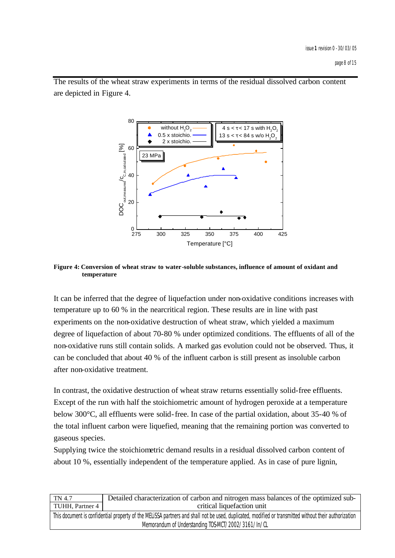80 without  $H_2O_2$  $4 s < \tau < 17 s$  with  $H<sub>2</sub>O$  0.5 x stoichio. 13 s <  $τ$  < 84 s w/o H<sub>2</sub>O 2 x stoichio.  $[%]$  $\mathsf{DOC}_{\mathsf{out},\mathsf{measured}}^\prime\mathsf{C}_{\mathsf{c},\mathsf{in},\mathsf{calculated}}^\mathsf{I}\mathsf{?6} \mathsf{I}$ 60 ׇ֢֚֘֕֜  $\int_{C,in,calculated} I$ 23 MPa  $\mathrm{DOC}_{\mathrm{out,measured}}$   $\sim$   $_{\mathrm{D}}$  $0$  L<br>275 275 300 325 350 375 400 425 Temperature [°C]

The results of the wheat straw experiments in terms of the residual dissolved carbon content are depicted in Figure 4.

#### **Figure 4: Conversion of wheat straw to water-soluble substances, influence of amount of oxidant and temperature**

It can be inferred that the degree of liquefaction under non-oxidative conditions increases with temperature up to 60 % in the nearcritical region. These results are in line with past experiments on the non-oxidative destruction of wheat straw, which yielded a maximum degree of liquefaction of about 70-80 % under optimized conditions. The effluents of all of the non-oxidative runs still contain solids. A marked gas evolution could not be observed. Thus, it can be concluded that about 40 % of the influent carbon is still present as insoluble carbon after non-oxidative treatment.

In contrast, the oxidative destruction of wheat straw returns essentially solid-free effluents. Except of the run with half the stoichiometric amount of hydrogen peroxide at a temperature below 300°C, all effluents were solid-free. In case of the partial oxidation, about 35-40 % of the total influent carbon were liquefied, meaning that the remaining portion was converted to gaseous species.

Supplying twice the stoichiometric demand results in a residual dissolved carbon content of about 10 %, essentially independent of the temperature applied. As in case of pure lignin,

| TN 4.7                                                                                                                                                | Detailed characterization of carbon and nitrogen mass balances of the optimized sub- |  |
|-------------------------------------------------------------------------------------------------------------------------------------------------------|--------------------------------------------------------------------------------------|--|
| TUHH, Partner 4                                                                                                                                       | critical liquefaction unit                                                           |  |
| This document is confidential property of the MELISSA partners and shall not be used, duplicated, modified or transmitted without their authorization |                                                                                      |  |
| Memorandum of Understanding TOS-MCT/2002/3161/In/CL                                                                                                   |                                                                                      |  |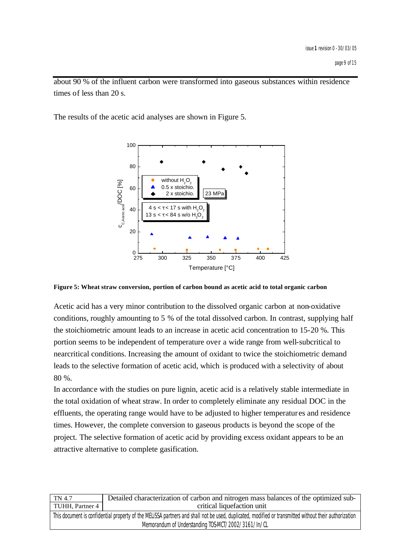about 90 % of the influent carbon were transformed into gaseous substances within residence times of less than 20 s.

The results of the acetic acid analyses are shown in Figure 5.



**Figure 5: Wheat straw conversion, portion of carbon bound as acetic acid to total organic carbon**

Acetic acid has a very minor contribution to the dissolved organic carbon at non-oxidative conditions, roughly amounting to 5 % of the total dissolved carbon. In contrast, supplying half the stoichiometric amount leads to an increase in acetic acid concentration to 15-20 %. This portion seems to be independent of temperature over a wide range from well-subcritical to nearcritical conditions. Increasing the amount of oxidant to twice the stoichiometric demand leads to the selective formation of acetic acid, which is produced with a selectivity of about 80 %.

In accordance with the studies on pure lignin, acetic acid is a relatively stable intermediate in the total oxidation of wheat straw. In order to completely eliminate any residual DOC in the effluents, the operating range would have to be adjusted to higher temperatur es and residence times. However, the complete conversion to gaseous products is beyond the scope of the project. The selective formation of acetic acid by providing excess oxidant appears to be an attractive alternative to complete gasification.

| TN 4.7                                                                                                                                                | Detailed characterization of carbon and nitrogen mass balances of the optimized sub- |
|-------------------------------------------------------------------------------------------------------------------------------------------------------|--------------------------------------------------------------------------------------|
| TUHH, Partner 4                                                                                                                                       | critical liquefaction unit                                                           |
| This document is confidential property of the MELISSA partners and shall not be used, duplicated, modified or transmitted without their authorization |                                                                                      |
| Memorandum of Understanding TOS-MCT/2002/3161/In/CL                                                                                                   |                                                                                      |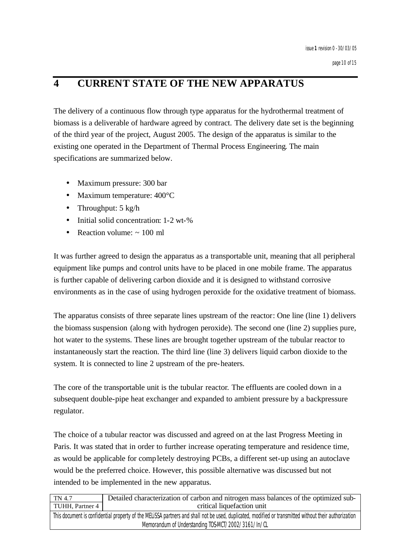# **4 CURRENT STATE OF THE NEW APPARATUS**

The delivery of a continuous flow through type apparatus for the hydrothermal treatment of biomass is a deliverable of hardware agreed by contract. The delivery date set is the beginning of the third year of the project, August 2005. The design of the apparatus is similar to the existing one operated in the Department of Thermal Process Engineering. The main specifications are summarized below.

- Maximum pressure: 300 bar
- Maximum temperature: 400°C
- Throughput: 5 kg/h
- Initial solid concentration: 1-2 wt-%
- Reaction volume:  $\approx 100$  ml

It was further agreed to design the apparatus as a transportable unit, meaning that all peripheral equipment like pumps and control units have to be placed in one mobile frame. The apparatus is further capable of delivering carbon dioxide and it is designed to withstand corrosive environments as in the case of using hydrogen peroxide for the oxidative treatment of biomass.

The apparatus consists of three separate lines upstream of the reactor: One line (line 1) delivers the biomass suspension (along with hydrogen peroxide). The second one (line 2) supplies pure, hot water to the systems. These lines are brought together upstream of the tubular reactor to instantaneously start the reaction. The third line (line 3) delivers liquid carbon dioxide to the system. It is connected to line 2 upstream of the pre-heaters.

The core of the transportable unit is the tubular reactor. The effluents are cooled down in a subsequent double-pipe heat exchanger and expanded to ambient pressure by a backpressure regulator.

The choice of a tubular reactor was discussed and agreed on at the last Progress Meeting in Paris. It was stated that in order to further increase operating temperature and residence time, as would be applicable for completely destroying PCBs, a different set-up using an autoclave would be the preferred choice. However, this possible alternative was discussed but not intended to be implemented in the new apparatus.

| TN 4.7                                                                                                                                                | Detailed characterization of carbon and nitrogen mass balances of the optimized sub- |
|-------------------------------------------------------------------------------------------------------------------------------------------------------|--------------------------------------------------------------------------------------|
| TUHH, Partner 4                                                                                                                                       | critical liquefaction unit                                                           |
| This document is confidential property of the MELISSA partners and shall not be used, duplicated, modified or transmitted without their authorization |                                                                                      |
| Memorandum of Understanding TOS-MCT/2002/3161/In/CL                                                                                                   |                                                                                      |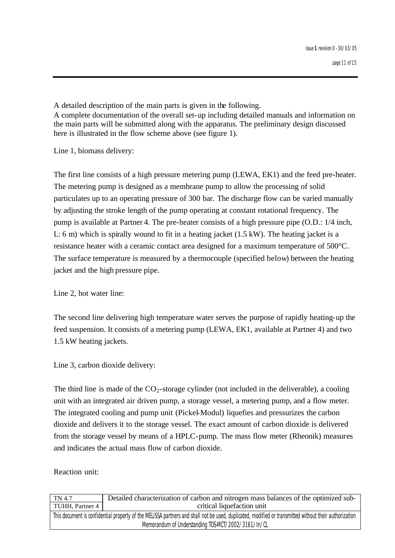A detailed description of the main parts is given in the following. A complete documentation of the overall set-up including detailed manuals and information on the main parts will be submitted along with the apparatus. The preliminary design discussed here is illustrated in the flow scheme above (see figure 1).

Line 1, biomass delivery:

The first line consists of a high pressure metering pump (LEWA, EK1) and the feed pre-heater. The metering pump is designed as a membrane pump to allow the processing of solid particulates up to an operating pressure of 300 bar. The discharge flow can be varied manually by adjusting the stroke length of the pump operating at constant rotational frequency. The pump is available at Partner 4. The pre-heater consists of a high pressure pipe (O.D.: 1/4 inch, L: 6 m) which is spirally wound to fit in a heating jacket (1.5 kW). The heating jacket is a resistance heater with a ceramic contact area designed for a maximum temperature of 500°C. The surface temperature is measured by a thermocouple (specified below) between the heating jacket and the high pressure pipe.

Line 2, hot water line:

The second line delivering high temperature water serves the purpose of rapidly heating-up the feed suspension. It consists of a metering pump (LEWA, EK1, available at Partner 4) and two 1.5 kW heating jackets.

Line 3, carbon dioxide delivery:

The third line is made of the  $CO_2$ -storage cylinder (not included in the deliverable), a cooling unit with an integrated air driven pump, a storage vessel, a metering pump, and a flow meter. The integrated cooling and pump unit (Pickel-Modul) liquefies and pressurizes the carbon dioxide and delivers it to the storage vessel. The exact amount of carbon dioxide is delivered from the storage vessel by means of a HPLC-pump. The mass flow meter (Rheonik) measures and indicates the actual mass flow of carbon dioxide.

Reaction unit:

| TN 4.7                                                                                                                                                | Detailed characterization of carbon and nitrogen mass balances of the optimized sub- |
|-------------------------------------------------------------------------------------------------------------------------------------------------------|--------------------------------------------------------------------------------------|
| TUHH, Partner 4                                                                                                                                       | critical liquefaction unit                                                           |
| This document is confidential property of the MELISSA partners and shall not be used, duplicated, modified or transmitted without their authorization |                                                                                      |
| Memorandum of Understanding TOS-MCT/2002/3161/In/CL                                                                                                   |                                                                                      |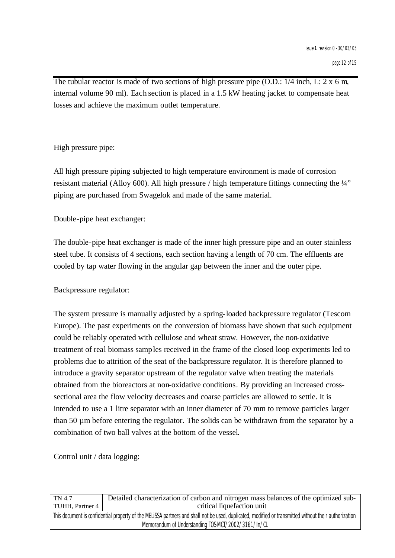The tubular reactor is made of two sections of high pressure pipe (O.D.:  $1/4$  inch, L: 2 x 6 m, internal volume 90 ml). Each section is placed in a 1.5 kW heating jacket to compensate heat losses and achieve the maximum outlet temperature.

High pressure pipe:

All high pressure piping subjected to high temperature environment is made of corrosion resistant material (Alloy 600). All high pressure / high temperature fittings connecting the ¼" piping are purchased from Swagelok and made of the same material.

Double-pipe heat exchanger:

The double-pipe heat exchanger is made of the inner high pressure pipe and an outer stainless steel tube. It consists of 4 sections, each section having a length of 70 cm. The effluents are cooled by tap water flowing in the angular gap between the inner and the outer pipe.

Backpressure regulator:

The system pressure is manually adjusted by a spring-loaded backpressure regulator (Tescom Europe). The past experiments on the conversion of biomass have shown that such equipment could be reliably operated with cellulose and wheat straw. However, the non-oxidative treatment of real biomass samples received in the frame of the closed loop experiments led to problems due to attrition of the seat of the backpressure regulator. It is therefore planned to introduce a gravity separator upstream of the regulator valve when treating the materials obtained from the bioreactors at non-oxidative conditions. By providing an increased crosssectional area the flow velocity decreases and coarse particles are allowed to settle. It is intended to use a 1 litre separator with an inner diameter of 70 mm to remove particles larger than 50 µm before entering the regulator. The solids can be withdrawn from the separator by a combination of two ball valves at the bottom of the vessel.

Control unit / data logging:

| TN 4.7                                                                                                                                                | Detailed characterization of carbon and nitrogen mass balances of the optimized sub- |
|-------------------------------------------------------------------------------------------------------------------------------------------------------|--------------------------------------------------------------------------------------|
| TUHH, Partner 4                                                                                                                                       | critical liquefaction unit                                                           |
| This document is confidential property of the MELISSA partners and shall not be used, duplicated, modified or transmitted without their authorization |                                                                                      |
| Memorandum of Understanding TOS-MCT/2002/3161/In/CL                                                                                                   |                                                                                      |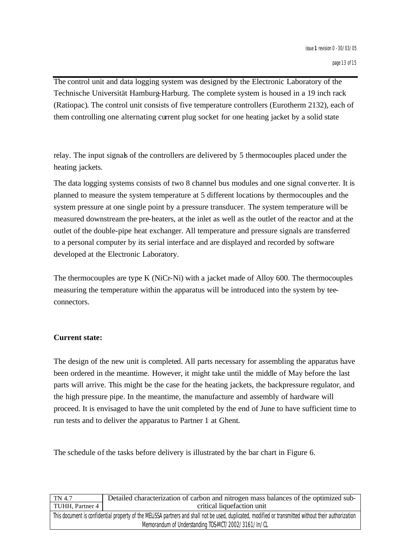The control unit and data logging system was designed by the Electronic Laboratory of the Technische Universität Hamburg-Harburg. The complete system is housed in a 19 inch rack (Ratiopac). The control unit consists of five temperature controllers (Eurotherm 2132), each of them controlling one alternating current plug socket for one heating jacket by a solid state

relay. The input signals of the controllers are delivered by 5 thermocouples placed under the heating jackets.

The data logging systems consists of two 8 channel bus modules and one signal conve rter. It is planned to measure the system temperature at 5 different locations by thermocouples and the system pressure at one single point by a pressure transducer. The system temperature will be measured downstream the pre-heaters, at the inlet as well as the outlet of the reactor and at the outlet of the double-pipe heat exchanger. All temperature and pressure signals are transferred to a personal computer by its serial interface and are displayed and recorded by software developed at the Electronic Laboratory.

The thermocouples are type K (NiCr-Ni) with a jacket made of Alloy 600. The thermocouples measuring the temperature within the apparatus will be introduced into the system by teeconnectors.

#### **Current state:**

The design of the new unit is completed. All parts necessary for assembling the apparatus have been ordered in the meantime. However, it might take until the middle of May before the last parts will arrive. This might be the case for the heating jackets, the backpressure regulator, and the high pressure pipe. In the meantime, the manufacture and assembly of hardware will proceed. It is envisaged to have the unit completed by the end of June to have sufficient time to run tests and to deliver the apparatus to Partner 1 at Ghent.

The schedule of the tasks before delivery is illustrated by the bar chart in Figure 6.

| TN 4.7                                                                                                                                                | Detailed characterization of carbon and nitrogen mass balances of the optimized sub- |
|-------------------------------------------------------------------------------------------------------------------------------------------------------|--------------------------------------------------------------------------------------|
| TUHH, Partner 4                                                                                                                                       | critical liquefaction unit                                                           |
| This document is confidential property of the MELISSA partners and shall not be used, duplicated, modified or transmitted without their authorization |                                                                                      |
| Memorandum of Understanding TOS-MCT/2002/3161/In/CL                                                                                                   |                                                                                      |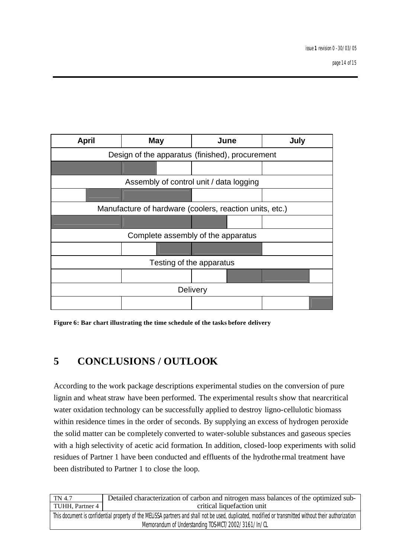

**Figure 6: Bar chart illustrating the time schedule of the tasks before delivery**

# **5 CONCLUSIONS / OUTLOOK**

According to the work package descriptions experimental studies on the conversion of pure lignin and wheat straw have been performed. The experimental results show that nearcritical water oxidation technology can be successfully applied to destroy ligno-cellulotic biomass within residence times in the order of seconds. By supplying an excess of hydrogen peroxide the solid matter can be completely converted to water-soluble substances and gaseous species with a high selectivity of acetic acid formation. In addition, closed-loop experiments with solid residues of Partner 1 have been conducted and effluents of the hydrothe rmal treatment have been distributed to Partner 1 to close the loop.

| TN 4.7                                                                                                                                                | Detailed characterization of carbon and nitrogen mass balances of the optimized sub- |
|-------------------------------------------------------------------------------------------------------------------------------------------------------|--------------------------------------------------------------------------------------|
| TUHH, Partner 4                                                                                                                                       | critical liquefaction unit                                                           |
| This document is confidential property of the MELISSA partners and shall not be used, duplicated, modified or transmitted without their authorization |                                                                                      |
| Memorandum of Understanding TOS-MCT/2002/3161/In/CL                                                                                                   |                                                                                      |